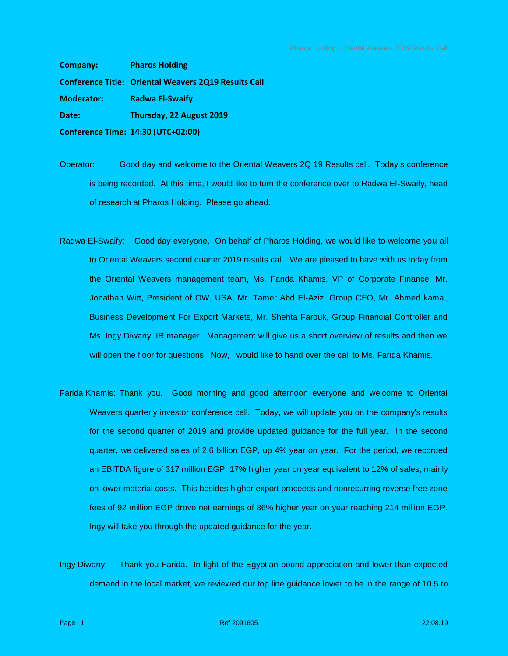**Company: Pharos Holding Conference Title: Oriental Weavers 2Q19 Results Call Moderator: Radwa El-Swaify Date: Thursday, 22 August 2019 Conference Time: 14:30 (UTC+02:00)**

Operator: Good day and welcome to the Oriental Weavers 2Q 19 Results call. Today's conference is being recorded. At this time, I would like to turn the conference over to Radwa El-Swaify, head of research at Pharos Holding. Please go ahead.

- Radwa El-Swaify: Good day everyone. On behalf of Pharos Holding, we would like to welcome you all to Oriental Weavers second quarter 2019 results call. We are pleased to have with us today from the Oriental Weavers management team, Ms. Farida Khamis, VP of Corporate Finance, Mr. Jonathan Witt, President of OW, USA, Mr. Tamer Abd El-Aziz, Group CFO, Mr. Ahmed kamal, Business Development For Export Markets, Mr. Shehta Farouk, Group Financial Controller and Ms. Ingy Diwany, IR manager. Management will give us a short overview of results and then we will open the floor for questions. Now, I would like to hand over the call to Ms. Farida Khamis.
- Farida Khamis: Thank you. Good morning and good afternoon everyone and welcome to Oriental Weavers quarterly investor conference call. Today, we will update you on the company's results for the second quarter of 2019 and provide updated guidance for the full year. In the second quarter, we delivered sales of 2.6 billion EGP, up 4% year on year. For the period, we recorded an EBITDA figure of 317 million EGP, 17% higher year on year equivalent to 12% of sales, mainly on lower material costs. This besides higher export proceeds and nonrecurring reverse free zone fees of 92 million EGP drove net earnings of 86% higher year on year reaching 214 million EGP. Ingy will take you through the updated guidance for the year.
- Ingy Diwany: Thank you Farida. In light of the Egyptian pound appreciation and lower than expected demand in the local market, we reviewed our top line guidance lower to be in the range of 10.5 to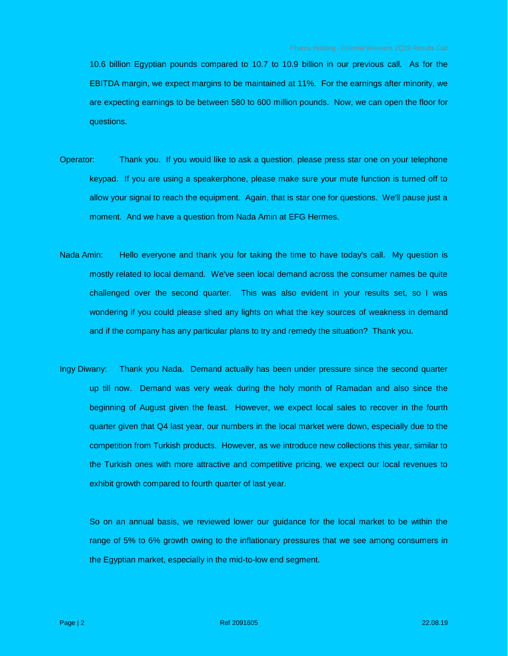10.6 billion Egyptian pounds compared to 10.7 to 10.9 billion in our previous call. As for the EBITDA margin, we expect margins to be maintained at 11%. For the earnings after minority, we are expecting earnings to be between 580 to 600 million pounds. Now, we can open the floor for questions.

- Operator: Thank you. If you would like to ask a question, please press star one on your telephone keypad. If you are using a speakerphone, please make sure your mute function is turned off to allow your signal to reach the equipment. Again, that is star one for questions. We'll pause just a moment. And we have a question from Nada Amin at EFG Hermes.
- Nada Amin: Hello everyone and thank you for taking the time to have today's call. My question is mostly related to local demand. We've seen local demand across the consumer names be quite challenged over the second quarter. This was also evident in your results set, so I was wondering if you could please shed any lights on what the key sources of weakness in demand and if the company has any particular plans to try and remedy the situation? Thank you.
- Ingy Diwany: Thank you Nada. Demand actually has been under pressure since the second quarter up till now. Demand was very weak during the holy month of Ramadan and also since the beginning of August given the feast. However, we expect local sales to recover in the fourth quarter given that Q4 last year, our numbers in the local market were down, especially due to the competition from Turkish products. However, as we introduce new collections this year, similar to the Turkish ones with more attractive and competitive pricing, we expect our local revenues to exhibit growth compared to fourth quarter of last year.

So on an annual basis, we reviewed lower our guidance for the local market to be within the range of 5% to 6% growth owing to the inflationary pressures that we see among consumers in the Egyptian market, especially in the mid-to-low end segment.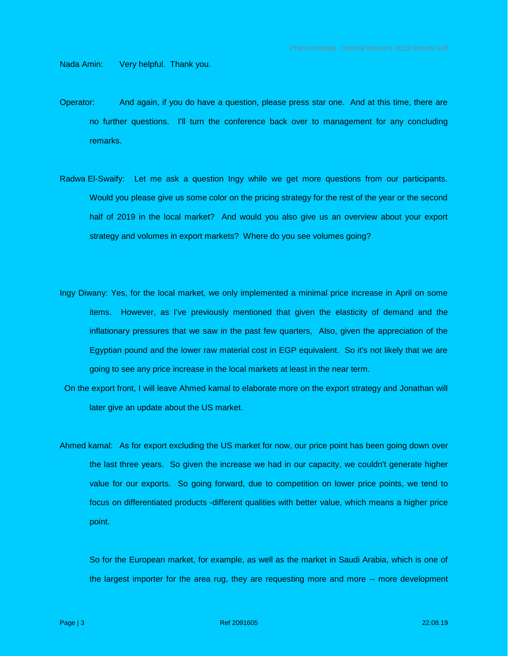Nada Amin: Very helpful. Thank you.

- Operator: And again, if you do have a question, please press star one. And at this time, there are no further questions. I'll turn the conference back over to management for any concluding remarks.
- Radwa El-Swaify: Let me ask a question Ingy while we get more questions from our participants. Would you please give us some color on the pricing strategy for the rest of the year or the second half of 2019 in the local market? And would you also give us an overview about your export strategy and volumes in export markets? Where do you see volumes going?
- Ingy Diwany: Yes, for the local market, we only implemented a minimal price increase in April on some items. However, as I've previously mentioned that given the elasticity of demand and the inflationary pressures that we saw in the past few quarters, Also, given the appreciation of the Egyptian pound and the lower raw material cost in EGP equivalent. So it's not likely that we are going to see any price increase in the local markets at least in the near term.
- On the export front, I will leave Ahmed kamal to elaborate more on the export strategy and Jonathan will later give an update about the US market.
- Ahmed kamal: As for export excluding the US market for now, our price point has been going down over the last three years. So given the increase we had in our capacity, we couldn't generate higher value for our exports. So going forward, due to competition on lower price points, we tend to focus on differentiated products -different qualities with better value, which means a higher price point.

So for the European market, for example, as well as the market in Saudi Arabia, which is one of the largest importer for the area rug, they are requesting more and more -- more development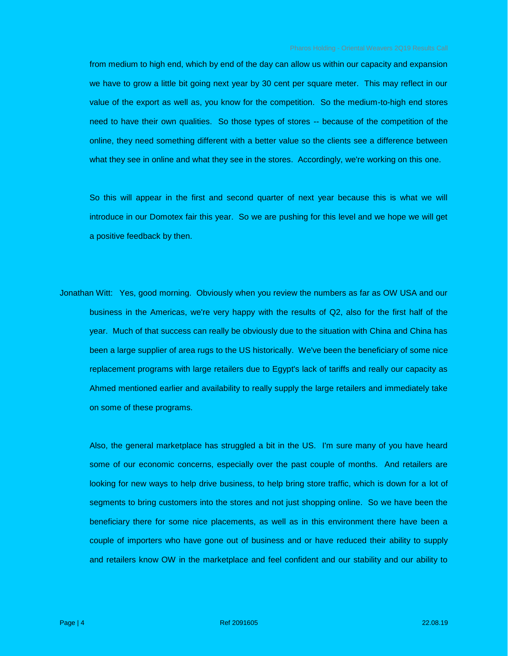from medium to high end, which by end of the day can allow us within our capacity and expansion we have to grow a little bit going next year by 30 cent per square meter. This may reflect in our value of the export as well as, you know for the competition. So the medium-to-high end stores need to have their own qualities. So those types of stores -- because of the competition of the online, they need something different with a better value so the clients see a difference between what they see in online and what they see in the stores. Accordingly, we're working on this one.

So this will appear in the first and second quarter of next year because this is what we will introduce in our Domotex fair this year. So we are pushing for this level and we hope we will get a positive feedback by then.

Jonathan Witt: Yes, good morning. Obviously when you review the numbers as far as OW USA and our business in the Americas, we're very happy with the results of Q2, also for the first half of the year. Much of that success can really be obviously due to the situation with China and China has been a large supplier of area rugs to the US historically. We've been the beneficiary of some nice replacement programs with large retailers due to Egypt's lack of tariffs and really our capacity as Ahmed mentioned earlier and availability to really supply the large retailers and immediately take on some of these programs.

Also, the general marketplace has struggled a bit in the US. I'm sure many of you have heard some of our economic concerns, especially over the past couple of months. And retailers are looking for new ways to help drive business, to help bring store traffic, which is down for a lot of segments to bring customers into the stores and not just shopping online. So we have been the beneficiary there for some nice placements, as well as in this environment there have been a couple of importers who have gone out of business and or have reduced their ability to supply and retailers know OW in the marketplace and feel confident and our stability and our ability to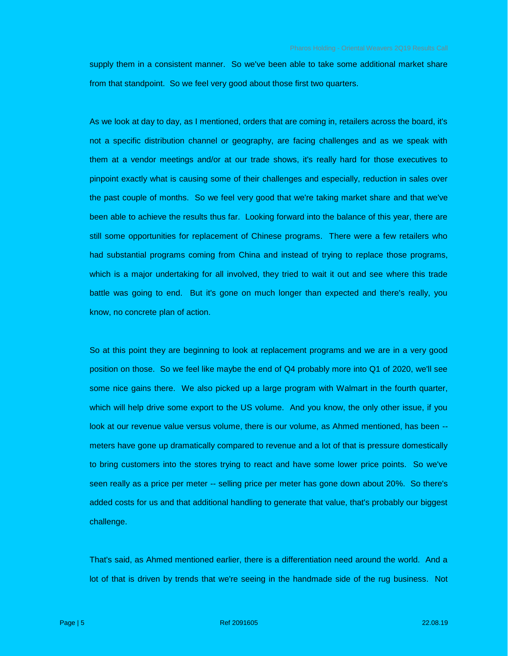supply them in a consistent manner. So we've been able to take some additional market share from that standpoint. So we feel very good about those first two quarters.

As we look at day to day, as I mentioned, orders that are coming in, retailers across the board, it's not a specific distribution channel or geography, are facing challenges and as we speak with them at a vendor meetings and/or at our trade shows, it's really hard for those executives to pinpoint exactly what is causing some of their challenges and especially, reduction in sales over the past couple of months. So we feel very good that we're taking market share and that we've been able to achieve the results thus far. Looking forward into the balance of this year, there are still some opportunities for replacement of Chinese programs. There were a few retailers who had substantial programs coming from China and instead of trying to replace those programs, which is a major undertaking for all involved, they tried to wait it out and see where this trade battle was going to end. But it's gone on much longer than expected and there's really, you know, no concrete plan of action.

So at this point they are beginning to look at replacement programs and we are in a very good position on those. So we feel like maybe the end of Q4 probably more into Q1 of 2020, we'll see some nice gains there. We also picked up a large program with Walmart in the fourth quarter, which will help drive some export to the US volume. And you know, the only other issue, if you look at our revenue value versus volume, there is our volume, as Ahmed mentioned, has been - meters have gone up dramatically compared to revenue and a lot of that is pressure domestically to bring customers into the stores trying to react and have some lower price points. So we've seen really as a price per meter -- selling price per meter has gone down about 20%. So there's added costs for us and that additional handling to generate that value, that's probably our biggest challenge.

That's said, as Ahmed mentioned earlier, there is a differentiation need around the world. And a lot of that is driven by trends that we're seeing in the handmade side of the rug business. Not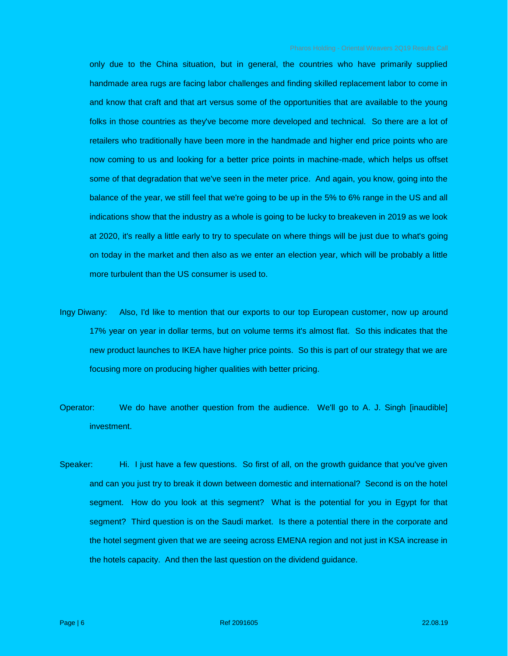only due to the China situation, but in general, the countries who have primarily supplied handmade area rugs are facing labor challenges and finding skilled replacement labor to come in and know that craft and that art versus some of the opportunities that are available to the young folks in those countries as they've become more developed and technical. So there are a lot of retailers who traditionally have been more in the handmade and higher end price points who are now coming to us and looking for a better price points in machine-made, which helps us offset some of that degradation that we've seen in the meter price. And again, you know, going into the balance of the year, we still feel that we're going to be up in the 5% to 6% range in the US and all indications show that the industry as a whole is going to be lucky to breakeven in 2019 as we look at 2020, it's really a little early to try to speculate on where things will be just due to what's going on today in the market and then also as we enter an election year, which will be probably a little more turbulent than the US consumer is used to.

- Ingy Diwany: Also, I'd like to mention that our exports to our top European customer, now up around 17% year on year in dollar terms, but on volume terms it's almost flat. So this indicates that the new product launches to IKEA have higher price points. So this is part of our strategy that we are focusing more on producing higher qualities with better pricing.
- Operator: We do have another question from the audience. We'll go to A. J. Singh [inaudible] investment.
- Speaker: Hi. I just have a few questions. So first of all, on the growth guidance that you've given and can you just try to break it down between domestic and international? Second is on the hotel segment. How do you look at this segment? What is the potential for you in Egypt for that segment? Third question is on the Saudi market. Is there a potential there in the corporate and the hotel segment given that we are seeing across EMENA region and not just in KSA increase in the hotels capacity. And then the last question on the dividend guidance.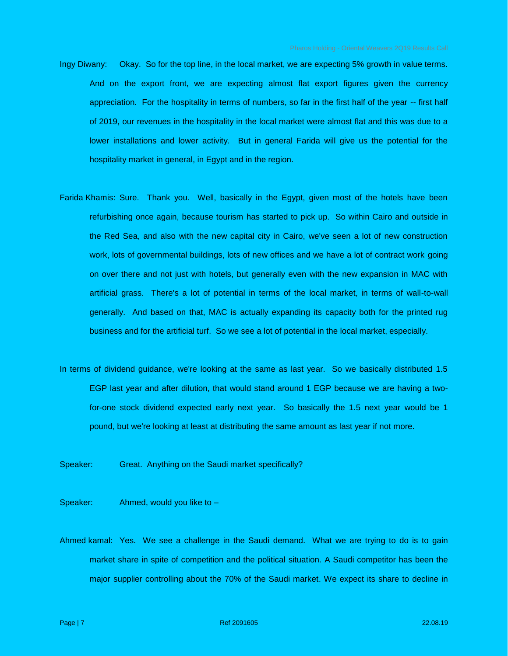- Ingy Diwany: Okay. So for the top line, in the local market, we are expecting 5% growth in value terms. And on the export front, we are expecting almost flat export figures given the currency appreciation. For the hospitality in terms of numbers, so far in the first half of the year -- first half of 2019, our revenues in the hospitality in the local market were almost flat and this was due to a lower installations and lower activity. But in general Farida will give us the potential for the hospitality market in general, in Egypt and in the region.
- Farida Khamis: Sure. Thank you. Well, basically in the Egypt, given most of the hotels have been refurbishing once again, because tourism has started to pick up. So within Cairo and outside in the Red Sea, and also with the new capital city in Cairo, we've seen a lot of new construction work, lots of governmental buildings, lots of new offices and we have a lot of contract work going on over there and not just with hotels, but generally even with the new expansion in MAC with artificial grass. There's a lot of potential in terms of the local market, in terms of wall-to-wall generally. And based on that, MAC is actually expanding its capacity both for the printed rug business and for the artificial turf. So we see a lot of potential in the local market, especially.
- In terms of dividend guidance, we're looking at the same as last year. So we basically distributed 1.5 EGP last year and after dilution, that would stand around 1 EGP because we are having a twofor-one stock dividend expected early next year. So basically the 1.5 next year would be 1 pound, but we're looking at least at distributing the same amount as last year if not more.
- Speaker: Great. Anything on the Saudi market specifically?

Speaker: Ahmed, would you like to –

Ahmed kamal: Yes. We see a challenge in the Saudi demand. What we are trying to do is to gain market share in spite of competition and the political situation. A Saudi competitor has been the major supplier controlling about the 70% of the Saudi market. We expect its share to decline in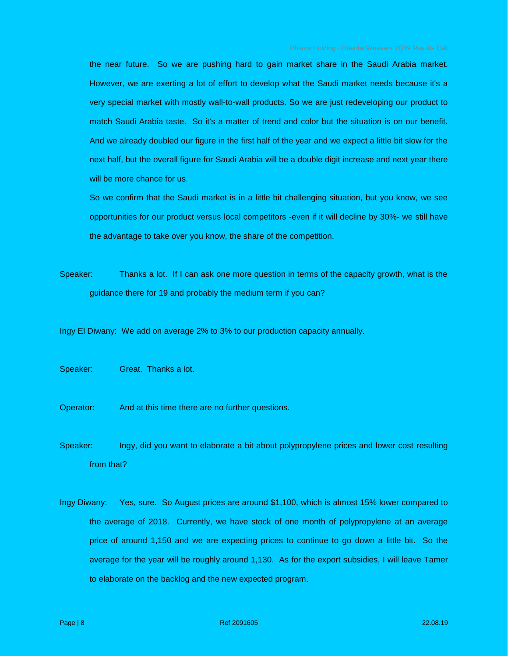the near future. So we are pushing hard to gain market share in the Saudi Arabia market. However, we are exerting a lot of effort to develop what the Saudi market needs because it's a very special market with mostly wall-to-wall products. So we are just redeveloping our product to match Saudi Arabia taste. So it's a matter of trend and color but the situation is on our benefit. And we already doubled our figure in the first half of the year and we expect a little bit slow for the next half, but the overall figure for Saudi Arabia will be a double digit increase and next year there will be more chance for us.

 So we confirm that the Saudi market is in a little bit challenging situation, but you know, we see opportunities for our product versus local competitors -even if it will decline by 30%- we still have the advantage to take over you know, the share of the competition.

Speaker: Thanks a lot. If I can ask one more question in terms of the capacity growth, what is the guidance there for 19 and probably the medium term if you can?

Ingy El Diwany: We add on average 2% to 3% to our production capacity annually.

Speaker: Great. Thanks a lot.

- Operator: And at this time there are no further questions.
- Speaker: Ingy, did you want to elaborate a bit about polypropylene prices and lower cost resulting from that?
- Ingy Diwany: Yes, sure. So August prices are around \$1,100, which is almost 15% lower compared to the average of 2018. Currently, we have stock of one month of polypropylene at an average price of around 1,150 and we are expecting prices to continue to go down a little bit. So the average for the year will be roughly around 1,130. As for the export subsidies, I will leave Tamer to elaborate on the backlog and the new expected program.